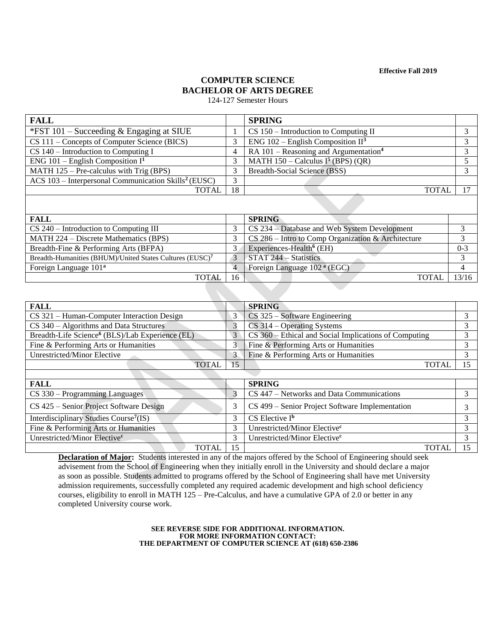**Effective Fall 2019**

# **COMPUTER SCIENCE BACHELOR OF ARTS DEGREE**

124-127 Semester Hours

| <b>FALL</b>                                                        |    | <b>SPRING</b>                                       |  |  |  |  |
|--------------------------------------------------------------------|----|-----------------------------------------------------|--|--|--|--|
| *FST 101 – Succeeding $&$ Engaging at SIUE                         |    | $CS 150$ – Introduction to Computing II             |  |  |  |  |
| CS 111 – Concepts of Computer Science (BICS)                       |    | ENG $102$ – English Composition II <sup>3</sup>     |  |  |  |  |
| $CS 140$ – Introduction to Computing I                             | 4  | RA $101$ – Reasoning and Argumentation <sup>4</sup> |  |  |  |  |
| ENG 101 – English Composition $I^1$                                |    | MATH $150 -$ Calculus I <sup>5</sup> (BPS) (QR)     |  |  |  |  |
| MATH $125$ – Pre-calculus with Trig (BPS)                          |    | Breadth-Social Science (BSS)                        |  |  |  |  |
| ACS $103$ – Interpersonal Communication Skills <sup>2</sup> (EUSC) | 3  |                                                     |  |  |  |  |
| <b>TOTAL</b>                                                       | 18 | <b>TOTAL</b>                                        |  |  |  |  |
|                                                                    |    |                                                     |  |  |  |  |

| <b>FALL</b>                                                          |    | <b>SPRING</b>                                        |         |
|----------------------------------------------------------------------|----|------------------------------------------------------|---------|
| $CS$ 240 – Introduction to Computing III                             |    | CS 234 – Database and Web System Development         |         |
| MATH 224 – Discrete Mathematics (BPS)                                |    | $CS$ 286 – Intro to Comp Organization & Architecture |         |
| Breadth-Fine & Performing Arts (BFPA)                                |    | Experiences-Health <sup>6</sup> (EH)                 | $0 - 3$ |
| Breadth-Humanities (BHUM)/United States Cultures (EUSC) <sup>7</sup> |    | STAT 244 – Statistics                                |         |
| Foreign Language 101 <sup>a</sup>                                    |    | Foreign Language 102 <sup>a</sup> (EGC)              |         |
| TOTAL.                                                               | 16 | TOTAL.                                               | 13/16   |

| <b>FALL</b>                                                 |    | <b>SPRING</b>                                         |    |  |  |  |  |
|-------------------------------------------------------------|----|-------------------------------------------------------|----|--|--|--|--|
| $CS$ 321 – Human-Computer Interaction Design                | 3  | $CS$ 325 – Software Engineering                       |    |  |  |  |  |
| $CS$ 340 – Algorithms and Data Structures                   | 3  | $CS$ 314 – Operating Systems                          | 3  |  |  |  |  |
| Breadth-Life Science <sup>6</sup> (BLS)/Lab Experience (EL) | 3  | CS 360 - Ethical and Social Implications of Computing |    |  |  |  |  |
| Fine & Performing Arts or Humanities                        | 3  | Fine & Performing Arts or Humanities                  | 3  |  |  |  |  |
| Unrestricted/Minor Elective                                 | 3  | Fine & Performing Arts or Humanities                  | 3  |  |  |  |  |
| <b>TOTAL</b>                                                | 15 | <b>TOTAL</b>                                          | 15 |  |  |  |  |
|                                                             |    |                                                       |    |  |  |  |  |
| <b>FALL</b>                                                 |    | <b>SPRING</b>                                         |    |  |  |  |  |
| CS 330 – Programming Languages                              | 3  | CS 447 – Networks and Data Communications             |    |  |  |  |  |
|                                                             |    |                                                       |    |  |  |  |  |
| CS 425 – Senior Project Software Design                     | 3  | CS 499 – Senior Project Software Implementation       |    |  |  |  |  |
| Interdisciplinary Studies Course <sup>7</sup> (IS)          | 3  | $CS$ Elective $I^b$                                   | 3  |  |  |  |  |
| Fine & Performing Arts or Humanities                        | 3  | Unrestricted/Minor Elective <sup>c</sup>              | 3  |  |  |  |  |

TOTAL | 15 | TOTAL | 15 **Declaration of Major:** Students interested in any of the majors offered by the School of Engineering should seek advisement from the School of Engineering when they initially enroll in the University and should declare a major as soon as possible. Students admitted to programs offered by the School of Engineering shall have met University admission requirements, successfully completed any required academic development and high school deficiency courses, eligibility to enroll in MATH 125 – Pre-Calculus, and have a cumulative GPA of 2.0 or better in any completed University course work.

> **SEE REVERSE SIDE FOR ADDITIONAL INFORMATION. FOR MORE INFORMATION CONTACT: THE DEPARTMENT OF COMPUTER SCIENCE AT (618) 650-2386**